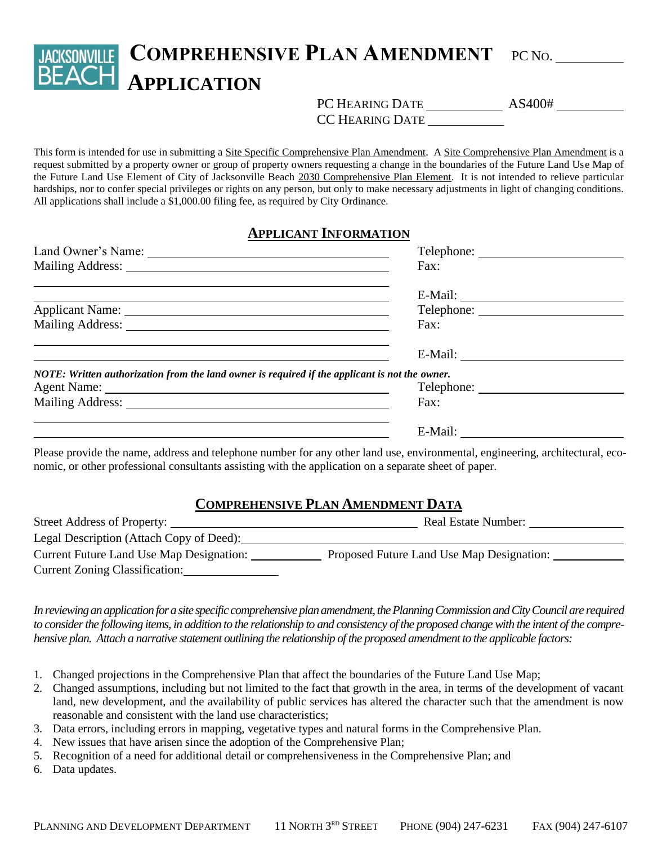## **COMPREHENSIVE PLAN AMENDMENT** PC NO. **BEACH APPLICATION**

PC HEARING DATE \_\_\_\_\_\_\_\_\_\_\_\_\_\_\_\_\_\_\_\_ AS400#

CC HEARING DATE \_\_\_\_\_\_\_\_\_\_\_\_\_

This form is intended for use in submitting a Site Specific Comprehensive Plan Amendment. A Site Comprehensive Plan Amendment is a request submitted by a property owner or group of property owners requesting a change in the boundaries of the Future Land Use Map of the Future Land Use Element of City of Jacksonville Beach 2030 Comprehensive Plan Element. It is not intended to relieve particular hardships, nor to confer special privileges or rights on any person, but only to make necessary adjustments in light of changing conditions. All applications shall include a \$1,000.00 filing fee, as required by City Ordinance.

## **APPLICANT INFORMATION**

|                                                                                                | Fax:       |
|------------------------------------------------------------------------------------------------|------------|
|                                                                                                |            |
|                                                                                                |            |
|                                                                                                | Fax:       |
|                                                                                                |            |
| NOTE: Written authorization from the land owner is required if the applicant is not the owner. |            |
|                                                                                                | Telephone: |
|                                                                                                | Fax:       |
|                                                                                                |            |

Please provide the name, address and telephone number for any other land use, environmental, engineering, architectural, economic, or other professional consultants assisting with the application on a separate sheet of paper.

## **COMPREHENSIVE PLAN AMENDMENT DATA**

| Street Address of Property:<br>Real Estate Number: |                                           |
|----------------------------------------------------|-------------------------------------------|
| Legal Description (Attach Copy of Deed):           |                                           |
| Current Future Land Use Map Designation:           | Proposed Future Land Use Map Designation: |
| Current Zoning Classification:                     |                                           |

*In reviewing an application for a site specific comprehensive plan amendment, the Planning Commission and City Council are required to consider the following items, in addition to the relationship to and consistency of the proposed change with the intent of the comprehensive plan. Attach a narrative statement outlining the relationship of the proposed amendment to the applicable factors:*

- 1. Changed projections in the Comprehensive Plan that affect the boundaries of the Future Land Use Map;
- 2. Changed assumptions, including but not limited to the fact that growth in the area, in terms of the development of vacant land, new development, and the availability of public services has altered the character such that the amendment is now reasonable and consistent with the land use characteristics;
- 3. Data errors, including errors in mapping, vegetative types and natural forms in the Comprehensive Plan.
- 4. New issues that have arisen since the adoption of the Comprehensive Plan;
- 5. Recognition of a need for additional detail or comprehensiveness in the Comprehensive Plan; and
- 6. Data updates.